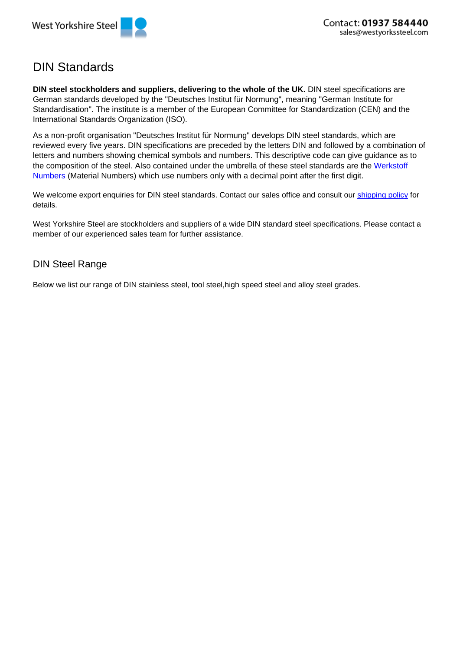

## DIN Standards

**DIN steel stockholders and suppliers, delivering to the whole of the UK.** DIN steel specifications are German standards developed by the "Deutsches Institut für Normung", meaning "German Institute for Standardisation". The institute is a member of the European Committee for Standardization (CEN) and the International Standards Organization (ISO).

As a non-profit organisation "Deutsches Institut für Normung" develops DIN steel standards, which are reviewed every five years. DIN specifications are preceded by the letters DIN and followed by a combination of letters and numbers showing chemical symbols and numbers. This descriptive code can give guidance as to the composition of the steel. Also contained under the umbrella of these steel standards are the Werkstoff Numbers (Material Numbers) which use numbers only with a decimal point after the first digit.

We welcome export enquiries for DIN steel standards. Contact our sales office and consult our shipping policy for details.

West Yorkshire Steel are stockholders and suppliers of a wide DIN standard steel specifications. Please contact a member of our experienced sales team for further assistance.

## DIN Steel Range

Below we list our range of DIN stainless steel, tool steel,high speed steel and alloy steel grades.